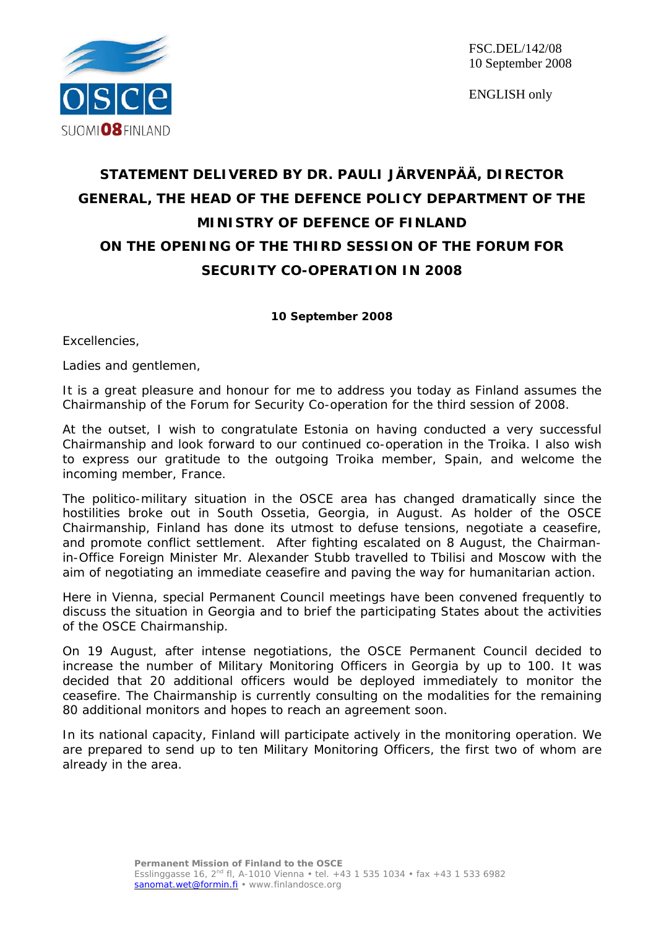

ENGLISH only

## **STATEMENT DELIVERED BY DR. PAULI JÄRVENPÄÄ, DIRECTOR GENERAL, THE HEAD OF THE DEFENCE POLICY DEPARTMENT OF THE MINISTRY OF DEFENCE OF FINLAND ON THE OPENING OF THE THIRD SESSION OF THE FORUM FOR SECURITY CO-OPERATION IN 2008**

**10 September 2008**

Excellencies,

Ladies and gentlemen,

It is a great pleasure and honour for me to address you today as Finland assumes the Chairmanship of the Forum for Security Co-operation for the third session of 2008.

At the outset, I wish to congratulate Estonia on having conducted a very successful Chairmanship and look forward to our continued co-operation in the Troika. I also wish to express our gratitude to the outgoing Troika member, Spain, and welcome the incoming member, France.

The politico-military situation in the OSCE area has changed dramatically since the hostilities broke out in South Ossetia, Georgia, in August. As holder of the OSCE Chairmanship, Finland has done its utmost to defuse tensions, negotiate a ceasefire, and promote conflict settlement. After fighting escalated on 8 August, the Chairmanin-Office Foreign Minister Mr. Alexander Stubb travelled to Tbilisi and Moscow with the aim of negotiating an immediate ceasefire and paving the way for humanitarian action.

Here in Vienna, special Permanent Council meetings have been convened frequently to discuss the situation in Georgia and to brief the participating States about the activities of the OSCE Chairmanship.

On 19 August, after intense negotiations, the OSCE Permanent Council decided to increase the number of Military Monitoring Officers in Georgia by up to 100. It was decided that 20 additional officers would be deployed immediately to monitor the ceasefire. The Chairmanship is currently consulting on the modalities for the remaining 80 additional monitors and hopes to reach an agreement soon.

In its national capacity, Finland will participate actively in the monitoring operation. We are prepared to send up to ten Military Monitoring Officers, the first two of whom are already in the area.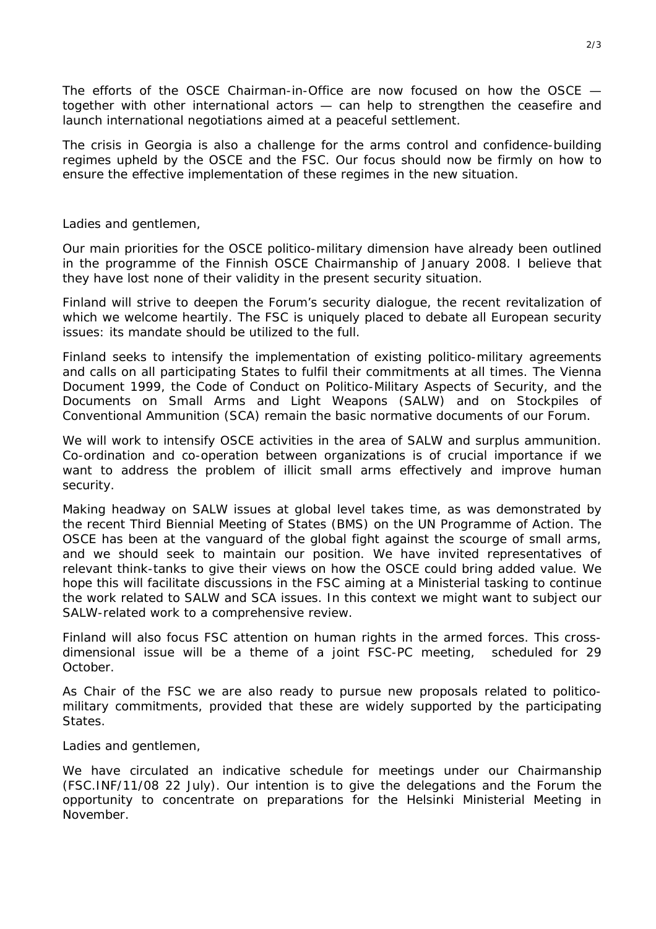The efforts of the OSCE Chairman-in-Office are now focused on how the OSCE together with other international actors — can help to strengthen the ceasefire and launch international negotiations aimed at a peaceful settlement.

The crisis in Georgia is also a challenge for the arms control and confidence-building regimes upheld by the OSCE and the FSC. Our focus should now be firmly on how to ensure the effective implementation of these regimes in the new situation.

Ladies and gentlemen,

Our main priorities for the OSCE politico-military dimension have already been outlined in the programme of the Finnish OSCE Chairmanship of January 2008. I believe that they have lost none of their validity in the present security situation.

Finland will strive to deepen the Forum's security dialogue, the recent revitalization of which we welcome heartily. The FSC is uniquely placed to debate all European security issues: its mandate should be utilized to the full.

Finland seeks to intensify the implementation of existing politico-military agreements and calls on all participating States to fulfil their commitments at all times. The Vienna Document 1999, the Code of Conduct on Politico-Military Aspects of Security, and the Documents on Small Arms and Light Weapons (SALW) and on Stockpiles of Conventional Ammunition (SCA) remain the basic normative documents of our Forum.

We will work to intensify OSCE activities in the area of SALW and surplus ammunition. Co-ordination and co-operation between organizations is of crucial importance if we want to address the problem of illicit small arms effectively and improve human security.

Making headway on SALW issues at global level takes time, as was demonstrated by the recent Third Biennial Meeting of States (BMS) on the UN Programme of Action. The OSCE has been at the vanguard of the global fight against the scourge of small arms, and we should seek to maintain our position. We have invited representatives of relevant think-tanks to give their views on how the OSCE could bring added value. We hope this will facilitate discussions in the FSC aiming at a Ministerial tasking to continue the work related to SALW and SCA issues. In this context we might want to subject our SALW-related work to a comprehensive review.

Finland will also focus FSC attention on human rights in the armed forces. This crossdimensional issue will be a theme of a joint FSC-PC meeting, scheduled for 29 October.

As Chair of the FSC we are also ready to pursue new proposals related to politicomilitary commitments, provided that these are widely supported by the participating States.

Ladies and gentlemen,

We have circulated an indicative schedule for meetings under our Chairmanship (FSC.INF/11/08 22 July). Our intention is to give the delegations and the Forum the opportunity to concentrate on preparations for the Helsinki Ministerial Meeting in November.